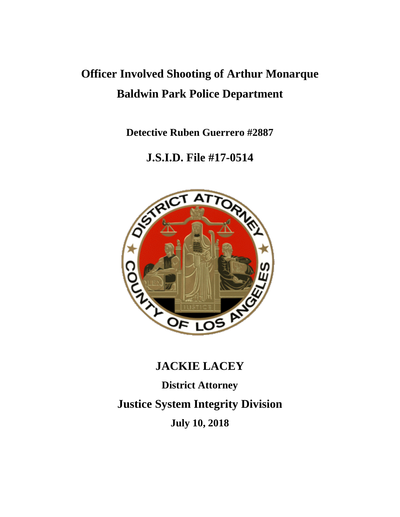# **Officer Involved Shooting of Arthur Monarque Baldwin Park Police Department**

**Detective Ruben Guerrero #2887**

### **J.S.I.D. File #17-0514**



## **JACKIE LACEY**

**District Attorney Justice System Integrity Division July 10, 2018**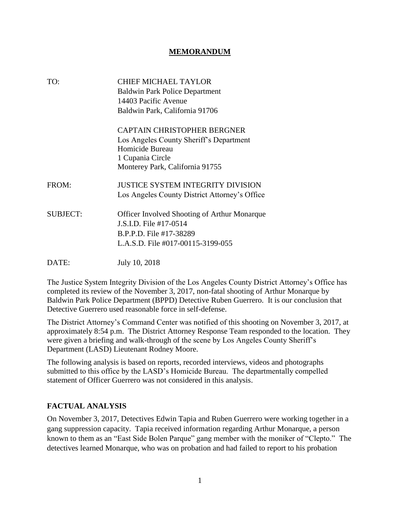#### **MEMORANDUM**

| TO:             | <b>CHIEF MICHAEL TAYLOR</b><br><b>Baldwin Park Police Department</b><br>14403 Pacific Avenue<br>Baldwin Park, California 91706                          |
|-----------------|---------------------------------------------------------------------------------------------------------------------------------------------------------|
|                 | <b>CAPTAIN CHRISTOPHER BERGNER</b><br>Los Angeles County Sheriff's Department<br>Homicide Bureau<br>1 Cupania Circle<br>Monterey Park, California 91755 |
| FROM:           | <b>JUSTICE SYSTEM INTEGRITY DIVISION</b><br>Los Angeles County District Attorney's Office                                                               |
| <b>SUBJECT:</b> | <b>Officer Involved Shooting of Arthur Monarque</b><br>J.S.I.D. File #17-0514<br>B.P.P.D. File #17-38289<br>L.A.S.D. File #017-00115-3199-055           |
| DATE:           | July 10, 2018                                                                                                                                           |

The Justice System Integrity Division of the Los Angeles County District Attorney's Office has completed its review of the November 3, 2017, non-fatal shooting of Arthur Monarque by Baldwin Park Police Department (BPPD) Detective Ruben Guerrero. It is our conclusion that Detective Guerrero used reasonable force in self-defense.

The District Attorney's Command Center was notified of this shooting on November 3, 2017, at approximately 8:54 p.m. The District Attorney Response Team responded to the location. They were given a briefing and walk-through of the scene by Los Angeles County Sheriff's Department (LASD) Lieutenant Rodney Moore.

The following analysis is based on reports, recorded interviews, videos and photographs submitted to this office by the LASD's Homicide Bureau. The departmentally compelled statement of Officer Guerrero was not considered in this analysis.

#### **FACTUAL ANALYSIS**

On November 3, 2017, Detectives Edwin Tapia and Ruben Guerrero were working together in a gang suppression capacity. Tapia received information regarding Arthur Monarque, a person known to them as an "East Side Bolen Parque" gang member with the moniker of "Clepto." The detectives learned Monarque, who was on probation and had failed to report to his probation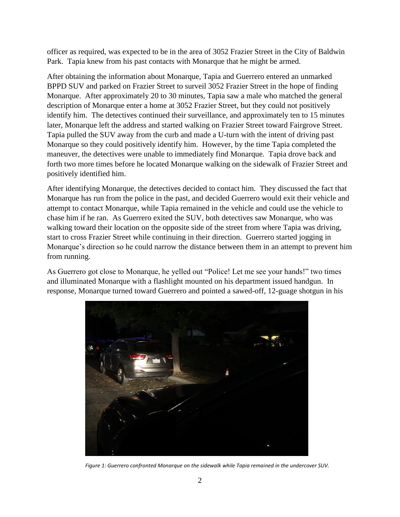officer as required, was expected to be in the area of 3052 Frazier Street in the City of Baldwin Park. Tapia knew from his past contacts with Monarque that he might be armed.

After obtaining the information about Monarque, Tapia and Guerrero entered an unmarked BPPD SUV and parked on Frazier Street to surveil 3052 Frazier Street in the hope of finding Monarque. After approximately 20 to 30 minutes, Tapia saw a male who matched the general description of Monarque enter a home at 3052 Frazier Street, but they could not positively identify him. The detectives continued their surveillance, and approximately ten to 15 minutes later, Monarque left the address and started walking on Frazier Street toward Fairgrove Street. Tapia pulled the SUV away from the curb and made a U-turn with the intent of driving past Monarque so they could positively identify him. However, by the time Tapia completed the maneuver, the detectives were unable to immediately find Monarque. Tapia drove back and forth two more times before he located Monarque walking on the sidewalk of Frazier Street and positively identified him.

After identifying Monarque, the detectives decided to contact him. They discussed the fact that Monarque has run from the police in the past, and decided Guerrero would exit their vehicle and attempt to contact Monarque, while Tapia remained in the vehicle and could use the vehicle to chase him if he ran. As Guerrero exited the SUV, both detectives saw Monarque, who was walking toward their location on the opposite side of the street from where Tapia was driving, start to cross Frazier Street while continuing in their direction. Guerrero started jogging in Monarque's direction so he could narrow the distance between them in an attempt to prevent him from running.

As Guerrero got close to Monarque, he yelled out "Police! Let me see your hands!" two times and illuminated Monarque with a flashlight mounted on his department issued handgun. In response, Monarque turned toward Guerrero and pointed a sawed-off, 12-guage shotgun in his



*Figure 1: Guerrero confronted Monarque on the sidewalk while Tapia remained in the undercover SUV.*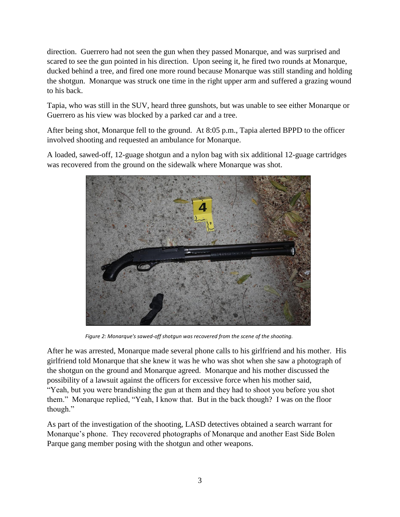direction. Guerrero had not seen the gun when they passed Monarque, and was surprised and scared to see the gun pointed in his direction. Upon seeing it, he fired two rounds at Monarque, ducked behind a tree, and fired one more round because Monarque was still standing and holding the shotgun. Monarque was struck one time in the right upper arm and suffered a grazing wound to his back.

Tapia, who was still in the SUV, heard three gunshots, but was unable to see either Monarque or Guerrero as his view was blocked by a parked car and a tree.

After being shot, Monarque fell to the ground. At 8:05 p.m., Tapia alerted BPPD to the officer involved shooting and requested an ambulance for Monarque.

A loaded, sawed-off, 12-guage shotgun and a nylon bag with six additional 12-guage cartridges was recovered from the ground on the sidewalk where Monarque was shot.



*Figure 2: Monarque's sawed-off shotgun was recovered from the scene of the shooting.*

After he was arrested, Monarque made several phone calls to his girlfriend and his mother. His girlfriend told Monarque that she knew it was he who was shot when she saw a photograph of the shotgun on the ground and Monarque agreed. Monarque and his mother discussed the possibility of a lawsuit against the officers for excessive force when his mother said, "Yeah, but you were brandishing the gun at them and they had to shoot you before you shot them." Monarque replied, "Yeah, I know that. But in the back though? I was on the floor though."

As part of the investigation of the shooting, LASD detectives obtained a search warrant for Monarque's phone. They recovered photographs of Monarque and another East Side Bolen Parque gang member posing with the shotgun and other weapons.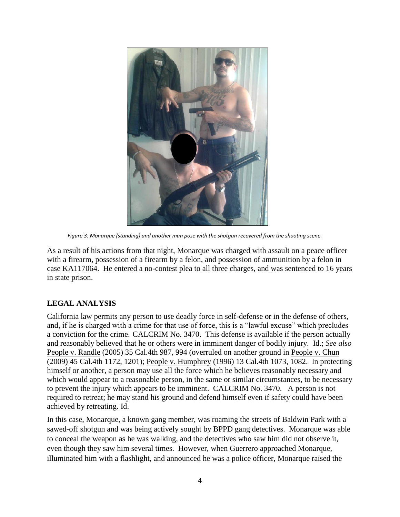

*Figure 3: Monarque (standing) and another man pose with the shotgun recovered from the shooting scene.*

As a result of his actions from that night, Monarque was charged with assault on a peace officer with a firearm, possession of a firearm by a felon, and possession of ammunition by a felon in case KA117064. He entered a no-contest plea to all three charges, and was sentenced to 16 years in state prison.

### **LEGAL ANALYSIS**

California law permits any person to use deadly force in self-defense or in the defense of others, and, if he is charged with a crime for that use of force, this is a "lawful excuse" which precludes a conviction for the crime. CALCRIM No. 3470. This defense is available if the person actually and reasonably believed that he or others were in imminent danger of bodily injury. Id.; *See also* People v. Randle (2005) 35 Cal.4th 987, 994 (overruled on another ground in People v. Chun (2009) 45 Cal.4th 1172, 1201); People v. Humphrey (1996) 13 Cal.4th 1073, 1082. In protecting himself or another, a person may use all the force which he believes reasonably necessary and which would appear to a reasonable person, in the same or similar circumstances, to be necessary to prevent the injury which appears to be imminent. CALCRIM No. 3470. A person is not required to retreat; he may stand his ground and defend himself even if safety could have been achieved by retreating. Id.

In this case, Monarque, a known gang member, was roaming the streets of Baldwin Park with a sawed-off shotgun and was being actively sought by BPPD gang detectives. Monarque was able to conceal the weapon as he was walking, and the detectives who saw him did not observe it, even though they saw him several times. However, when Guerrero approached Monarque, illuminated him with a flashlight, and announced he was a police officer, Monarque raised the